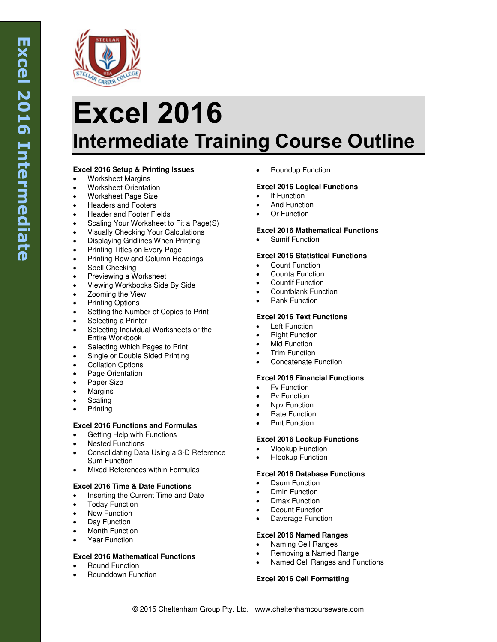

# **Excel 2016 Intermediate Training Course Outline**

# **Excel 2016 Setup & Printing Issues**

- Worksheet Margins
- Worksheet Orientation
- Worksheet Page Size
- Headers and Footers
- Header and Footer Fields
- Scaling Your Worksheet to Fit a Page(S)
- Visually Checking Your Calculations
- Displaying Gridlines When Printing
- Printing Titles on Every Page
- Printing Row and Column Headings
- Spell Checking
- Previewing a Worksheet
- Viewing Workbooks Side By Side
- Zooming the View
- Printing Options
- Setting the Number of Copies to Print
- Selecting a Printer
- Selecting Individual Worksheets or the Entire Workbook
- Selecting Which Pages to Print
- Single or Double Sided Printing
- Collation Options
- Page Orientation
- Paper Size
- Margins
- Scaling
- Printing

# **Excel 2016 Functions and Formulas**

- Getting Help with Functions
- Nested Functions
- Consolidating Data Using a 3-D Reference Sum Function
- Mixed References within Formulas

# **Excel 2016 Time & Date Functions**

- Inserting the Current Time and Date
- Today Function
- Now Function
- Day Function
- Month Function
- Year Function

#### **Excel 2016 Mathematical Functions**

- Round Function
- Rounddown Function

Roundup Function

## **Excel 2016 Logical Functions**

- If Function
- And Function
- Or Function

#### **Excel 2016 Mathematical Functions**

Sumif Function

## **Excel 2016 Statistical Functions**

- Count Function
- Counta Function
- Countif Function
- Countblank Function
- Rank Function

## **Excel 2016 Text Functions**

- Left Function
- Right Function
- Mid Function
- Trim Function
- Concatenate Function

### **Excel 2016 Financial Functions**

- Fv Function
- Pv Function
- Npv Function
- Rate Function
- Pmt Function

#### **Excel 2016 Lookup Functions**

- Vlookup Function
- Hlookup Function

## **Excel 2016 Database Functions**

- Dsum Function
- Dmin Function
- Dmax Function
- Dcount Function
- Daverage Function

#### **Excel 2016 Named Ranges**

- Naming Cell Ranges
- Removing a Named Range
- Named Cell Ranges and Functions

#### **Excel 2016 Cell Formatting**